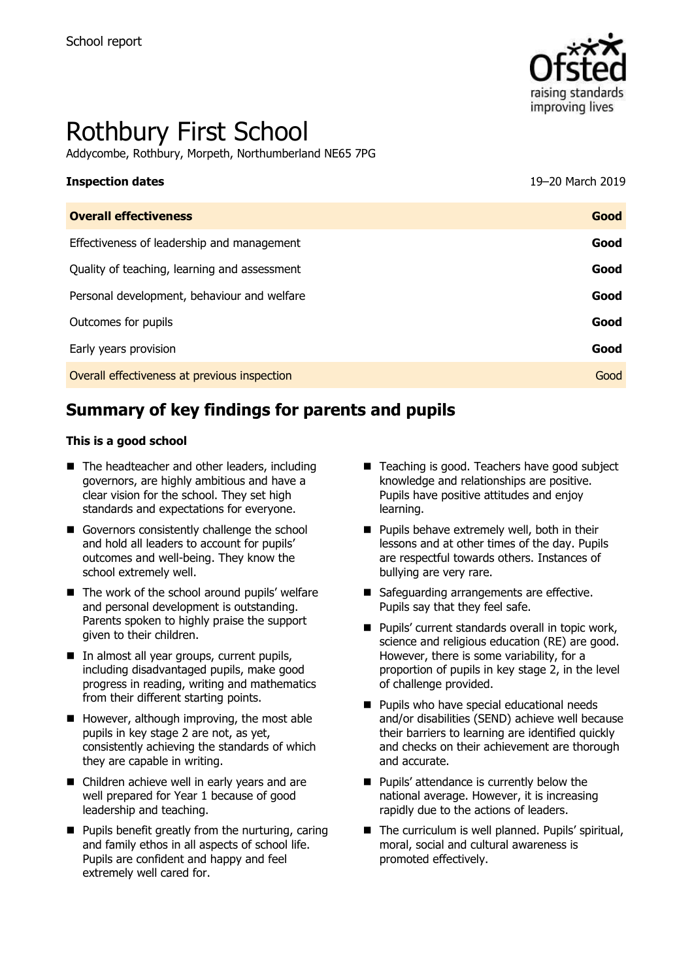

# Rothbury First School

Addycombe, Rothbury, Morpeth, Northumberland NE65 7PG

# **Inspection dates** 19–20 March 2019

| <b>Overall effectiveness</b>                 | Good |
|----------------------------------------------|------|
| Effectiveness of leadership and management   | Good |
| Quality of teaching, learning and assessment | Good |
| Personal development, behaviour and welfare  | Good |
| Outcomes for pupils                          | Good |
| Early years provision                        | Good |
| Overall effectiveness at previous inspection | Good |
|                                              |      |

# **Summary of key findings for parents and pupils**

#### **This is a good school**

- The headteacher and other leaders, including governors, are highly ambitious and have a clear vision for the school. They set high standards and expectations for everyone.
- Governors consistently challenge the school and hold all leaders to account for pupils' outcomes and well-being. They know the school extremely well.
- The work of the school around pupils' welfare and personal development is outstanding. Parents spoken to highly praise the support given to their children.
- In almost all year groups, current pupils, including disadvantaged pupils, make good progress in reading, writing and mathematics from their different starting points.
- $\blacksquare$  However, although improving, the most able pupils in key stage 2 are not, as yet, consistently achieving the standards of which they are capable in writing.
- Children achieve well in early years and are well prepared for Year 1 because of good leadership and teaching.
- $\blacksquare$  Pupils benefit greatly from the nurturing, caring and family ethos in all aspects of school life. Pupils are confident and happy and feel extremely well cared for.
- Teaching is good. Teachers have good subject knowledge and relationships are positive. Pupils have positive attitudes and enjoy learning.
- $\blacksquare$  Pupils behave extremely well, both in their lessons and at other times of the day. Pupils are respectful towards others. Instances of bullying are very rare.
- Safeguarding arrangements are effective. Pupils say that they feel safe.
- $\blacksquare$  Pupils' current standards overall in topic work, science and religious education (RE) are good. However, there is some variability, for a proportion of pupils in key stage 2, in the level of challenge provided.
- **Pupils who have special educational needs** and/or disabilities (SEND) achieve well because their barriers to learning are identified quickly and checks on their achievement are thorough and accurate.
- **Pupils' attendance is currently below the** national average. However, it is increasing rapidly due to the actions of leaders.
- The curriculum is well planned. Pupils' spiritual, moral, social and cultural awareness is promoted effectively.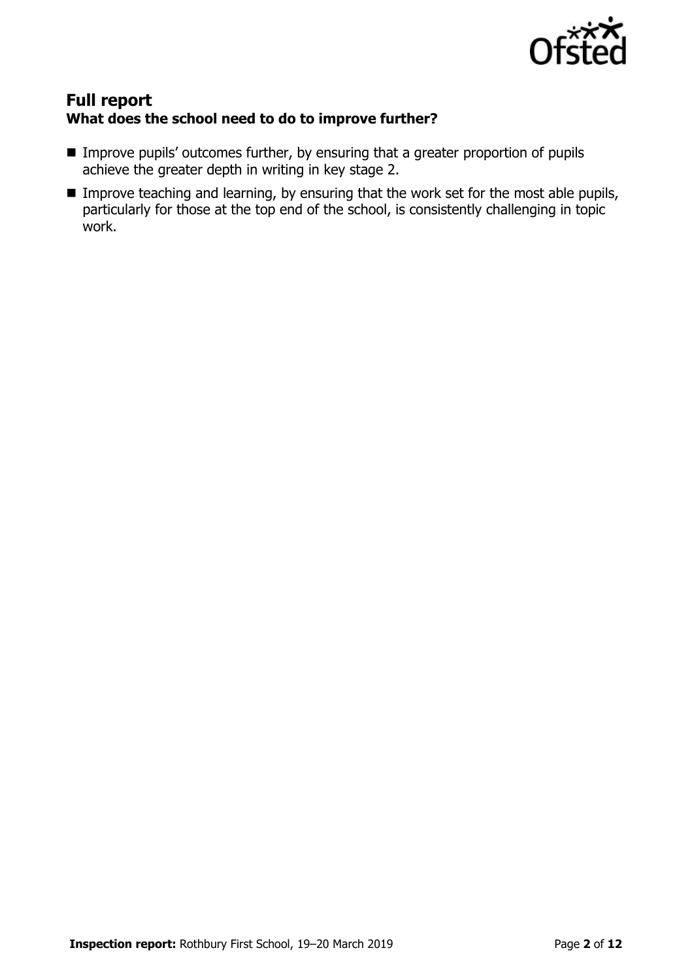

# **Full report What does the school need to do to improve further?**

- **IMPROVE PUPILS' outcomes further, by ensuring that a greater proportion of pupils** achieve the greater depth in writing in key stage 2.
- **IMPROVE THE 11 Improve teaching and learning, by ensuring that the work set for the most able pupils,** particularly for those at the top end of the school, is consistently challenging in topic work.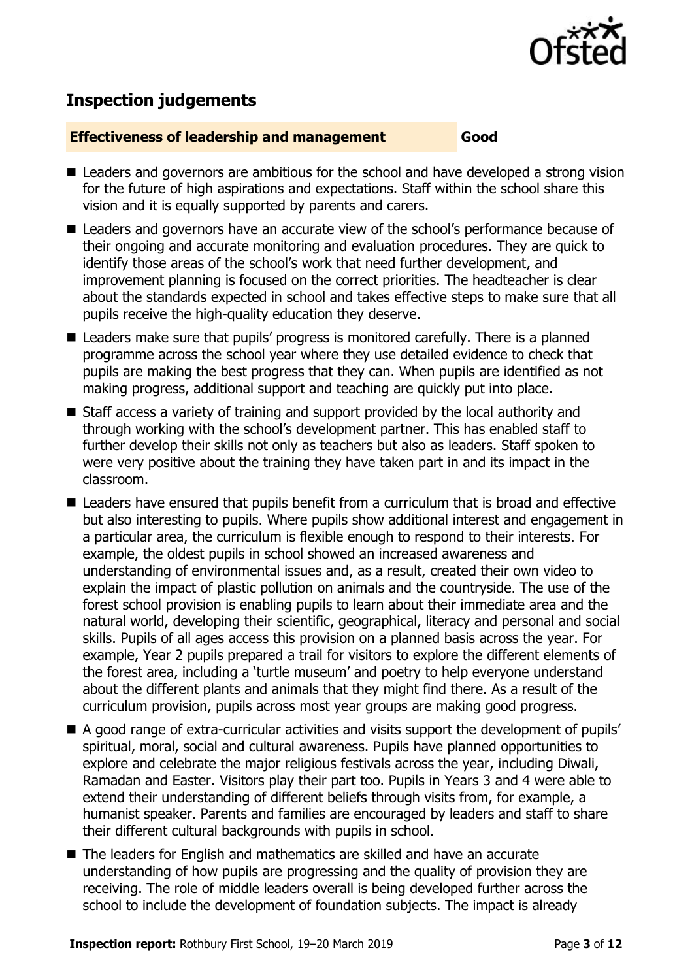

# **Inspection judgements**

#### **Effectiveness of leadership and management Good**

- Leaders and governors are ambitious for the school and have developed a strong vision for the future of high aspirations and expectations. Staff within the school share this vision and it is equally supported by parents and carers.
- Leaders and governors have an accurate view of the school's performance because of their ongoing and accurate monitoring and evaluation procedures. They are quick to identify those areas of the school's work that need further development, and improvement planning is focused on the correct priorities. The headteacher is clear about the standards expected in school and takes effective steps to make sure that all pupils receive the high-quality education they deserve.
- Leaders make sure that pupils' progress is monitored carefully. There is a planned programme across the school year where they use detailed evidence to check that pupils are making the best progress that they can. When pupils are identified as not making progress, additional support and teaching are quickly put into place.
- Staff access a variety of training and support provided by the local authority and through working with the school's development partner. This has enabled staff to further develop their skills not only as teachers but also as leaders. Staff spoken to were very positive about the training they have taken part in and its impact in the classroom.
- Leaders have ensured that pupils benefit from a curriculum that is broad and effective but also interesting to pupils. Where pupils show additional interest and engagement in a particular area, the curriculum is flexible enough to respond to their interests. For example, the oldest pupils in school showed an increased awareness and understanding of environmental issues and, as a result, created their own video to explain the impact of plastic pollution on animals and the countryside. The use of the forest school provision is enabling pupils to learn about their immediate area and the natural world, developing their scientific, geographical, literacy and personal and social skills. Pupils of all ages access this provision on a planned basis across the year. For example, Year 2 pupils prepared a trail for visitors to explore the different elements of the forest area, including a 'turtle museum' and poetry to help everyone understand about the different plants and animals that they might find there. As a result of the curriculum provision, pupils across most year groups are making good progress.
- A good range of extra-curricular activities and visits support the development of pupils' spiritual, moral, social and cultural awareness. Pupils have planned opportunities to explore and celebrate the major religious festivals across the year, including Diwali, Ramadan and Easter. Visitors play their part too. Pupils in Years 3 and 4 were able to extend their understanding of different beliefs through visits from, for example, a humanist speaker. Parents and families are encouraged by leaders and staff to share their different cultural backgrounds with pupils in school.
- The leaders for English and mathematics are skilled and have an accurate understanding of how pupils are progressing and the quality of provision they are receiving. The role of middle leaders overall is being developed further across the school to include the development of foundation subjects. The impact is already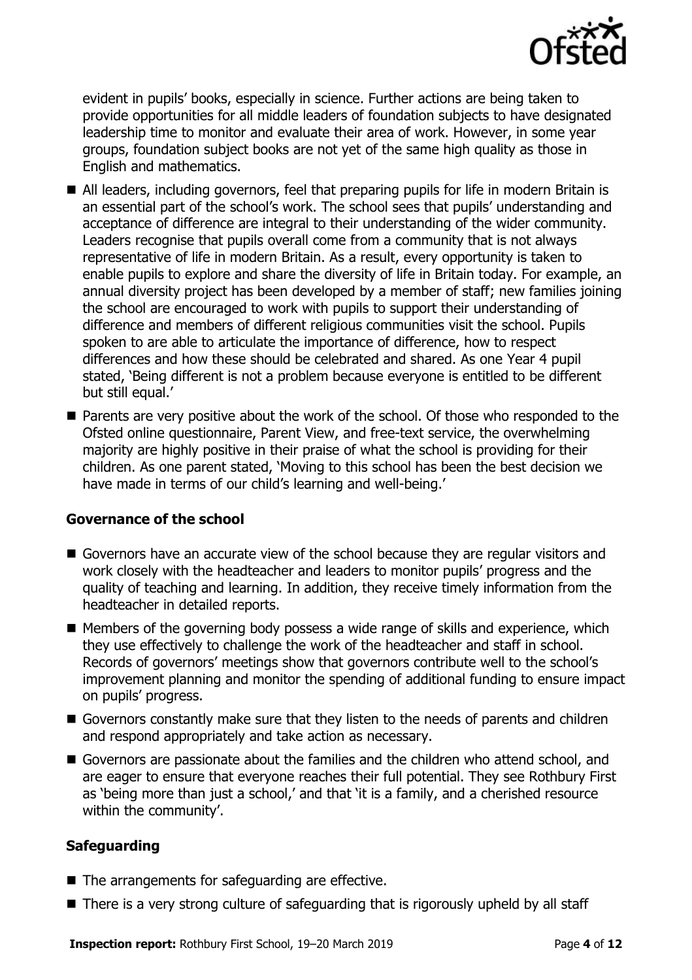

evident in pupils' books, especially in science. Further actions are being taken to provide opportunities for all middle leaders of foundation subjects to have designated leadership time to monitor and evaluate their area of work. However, in some year groups, foundation subject books are not yet of the same high quality as those in English and mathematics.

- All leaders, including governors, feel that preparing pupils for life in modern Britain is an essential part of the school's work. The school sees that pupils' understanding and acceptance of difference are integral to their understanding of the wider community. Leaders recognise that pupils overall come from a community that is not always representative of life in modern Britain. As a result, every opportunity is taken to enable pupils to explore and share the diversity of life in Britain today. For example, an annual diversity project has been developed by a member of staff; new families joining the school are encouraged to work with pupils to support their understanding of difference and members of different religious communities visit the school. Pupils spoken to are able to articulate the importance of difference, how to respect differences and how these should be celebrated and shared. As one Year 4 pupil stated, 'Being different is not a problem because everyone is entitled to be different but still equal.'
- Parents are very positive about the work of the school. Of those who responded to the Ofsted online questionnaire, Parent View, and free-text service, the overwhelming majority are highly positive in their praise of what the school is providing for their children. As one parent stated, 'Moving to this school has been the best decision we have made in terms of our child's learning and well-being.'

## **Governance of the school**

- Governors have an accurate view of the school because they are regular visitors and work closely with the headteacher and leaders to monitor pupils' progress and the quality of teaching and learning. In addition, they receive timely information from the headteacher in detailed reports.
- Members of the governing body possess a wide range of skills and experience, which they use effectively to challenge the work of the headteacher and staff in school. Records of governors' meetings show that governors contribute well to the school's improvement planning and monitor the spending of additional funding to ensure impact on pupils' progress.
- Governors constantly make sure that they listen to the needs of parents and children and respond appropriately and take action as necessary.
- Governors are passionate about the families and the children who attend school, and are eager to ensure that everyone reaches their full potential. They see Rothbury First as 'being more than just a school,' and that 'it is a family, and a cherished resource within the community'.

## **Safeguarding**

- The arrangements for safeguarding are effective.
- There is a very strong culture of safeguarding that is rigorously upheld by all staff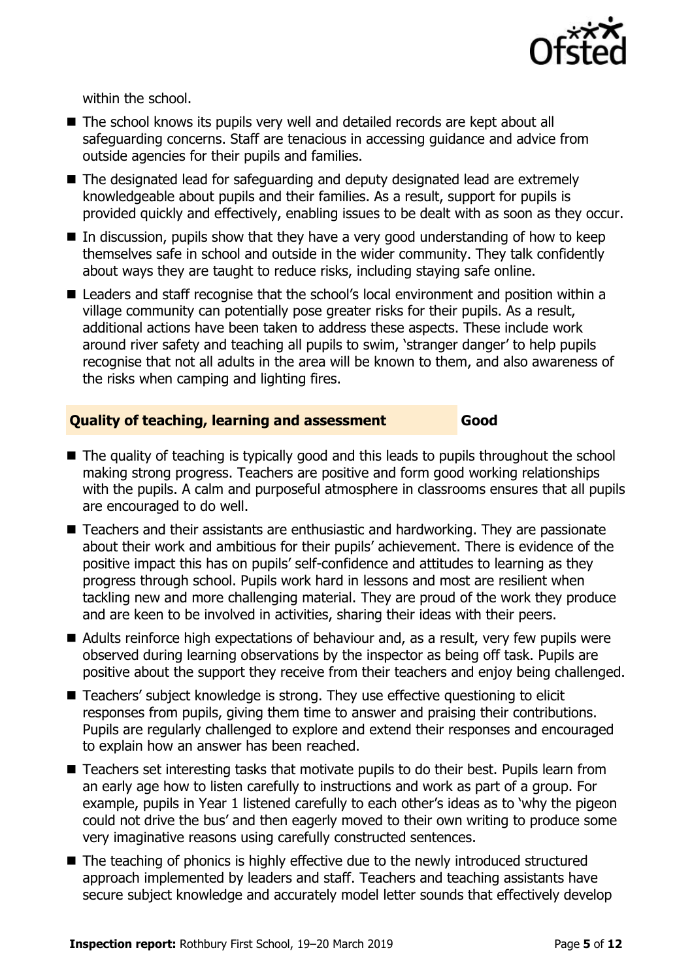

within the school.

- The school knows its pupils very well and detailed records are kept about all safeguarding concerns. Staff are tenacious in accessing guidance and advice from outside agencies for their pupils and families.
- The designated lead for safeguarding and deputy designated lead are extremely knowledgeable about pupils and their families. As a result, support for pupils is provided quickly and effectively, enabling issues to be dealt with as soon as they occur.
- $\blacksquare$  In discussion, pupils show that they have a very good understanding of how to keep themselves safe in school and outside in the wider community. They talk confidently about ways they are taught to reduce risks, including staying safe online.
- Leaders and staff recognise that the school's local environment and position within a village community can potentially pose greater risks for their pupils. As a result, additional actions have been taken to address these aspects. These include work around river safety and teaching all pupils to swim, 'stranger danger' to help pupils recognise that not all adults in the area will be known to them, and also awareness of the risks when camping and lighting fires.

## **Quality of teaching, learning and assessment Good**

- The quality of teaching is typically good and this leads to pupils throughout the school making strong progress. Teachers are positive and form good working relationships with the pupils. A calm and purposeful atmosphere in classrooms ensures that all pupils are encouraged to do well.
- Teachers and their assistants are enthusiastic and hardworking. They are passionate about their work and ambitious for their pupils' achievement. There is evidence of the positive impact this has on pupils' self-confidence and attitudes to learning as they progress through school. Pupils work hard in lessons and most are resilient when tackling new and more challenging material. They are proud of the work they produce and are keen to be involved in activities, sharing their ideas with their peers.
- Adults reinforce high expectations of behaviour and, as a result, very few pupils were observed during learning observations by the inspector as being off task. Pupils are positive about the support they receive from their teachers and enjoy being challenged.
- Teachers' subject knowledge is strong. They use effective questioning to elicit responses from pupils, giving them time to answer and praising their contributions. Pupils are regularly challenged to explore and extend their responses and encouraged to explain how an answer has been reached.
- Teachers set interesting tasks that motivate pupils to do their best. Pupils learn from an early age how to listen carefully to instructions and work as part of a group. For example, pupils in Year 1 listened carefully to each other's ideas as to 'why the pigeon could not drive the bus' and then eagerly moved to their own writing to produce some very imaginative reasons using carefully constructed sentences.
- The teaching of phonics is highly effective due to the newly introduced structured approach implemented by leaders and staff. Teachers and teaching assistants have secure subject knowledge and accurately model letter sounds that effectively develop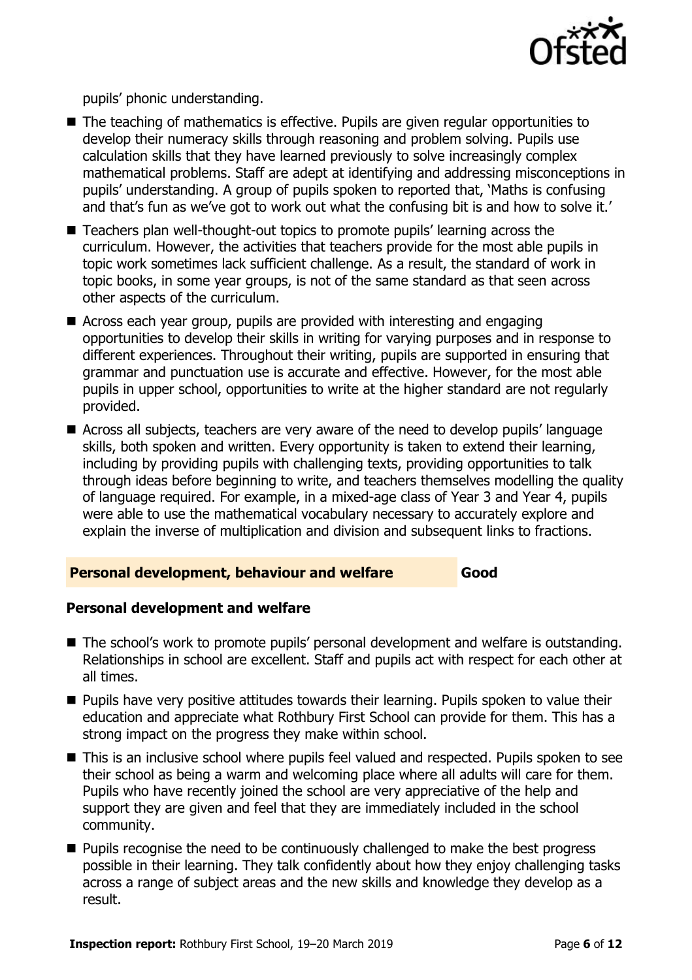

pupils' phonic understanding.

- The teaching of mathematics is effective. Pupils are given regular opportunities to develop their numeracy skills through reasoning and problem solving. Pupils use calculation skills that they have learned previously to solve increasingly complex mathematical problems. Staff are adept at identifying and addressing misconceptions in pupils' understanding. A group of pupils spoken to reported that, 'Maths is confusing and that's fun as we've got to work out what the confusing bit is and how to solve it.'
- Teachers plan well-thought-out topics to promote pupils' learning across the curriculum. However, the activities that teachers provide for the most able pupils in topic work sometimes lack sufficient challenge. As a result, the standard of work in topic books, in some year groups, is not of the same standard as that seen across other aspects of the curriculum.
- Across each year group, pupils are provided with interesting and engaging opportunities to develop their skills in writing for varying purposes and in response to different experiences. Throughout their writing, pupils are supported in ensuring that grammar and punctuation use is accurate and effective. However, for the most able pupils in upper school, opportunities to write at the higher standard are not regularly provided.
- Across all subjects, teachers are very aware of the need to develop pupils' language skills, both spoken and written. Every opportunity is taken to extend their learning, including by providing pupils with challenging texts, providing opportunities to talk through ideas before beginning to write, and teachers themselves modelling the quality of language required. For example, in a mixed-age class of Year 3 and Year 4, pupils were able to use the mathematical vocabulary necessary to accurately explore and explain the inverse of multiplication and division and subsequent links to fractions.

#### **Personal development, behaviour and welfare Good**

## **Personal development and welfare**

- The school's work to promote pupils' personal development and welfare is outstanding. Relationships in school are excellent. Staff and pupils act with respect for each other at all times.
- **Pupils have very positive attitudes towards their learning. Pupils spoken to value their** education and appreciate what Rothbury First School can provide for them. This has a strong impact on the progress they make within school.
- This is an inclusive school where pupils feel valued and respected. Pupils spoken to see their school as being a warm and welcoming place where all adults will care for them. Pupils who have recently joined the school are very appreciative of the help and support they are given and feel that they are immediately included in the school community.
- **Pupils recognise the need to be continuously challenged to make the best progress** possible in their learning. They talk confidently about how they enjoy challenging tasks across a range of subject areas and the new skills and knowledge they develop as a result.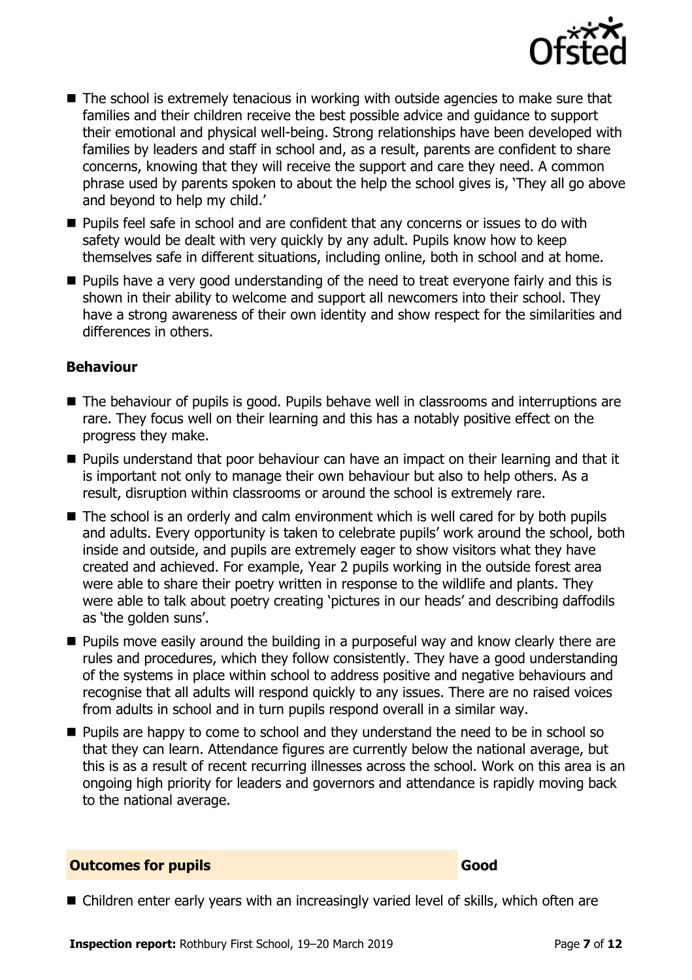

- The school is extremely tenacious in working with outside agencies to make sure that families and their children receive the best possible advice and guidance to support their emotional and physical well-being. Strong relationships have been developed with families by leaders and staff in school and, as a result, parents are confident to share concerns, knowing that they will receive the support and care they need. A common phrase used by parents spoken to about the help the school gives is, 'They all go above and beyond to help my child.'
- **Pupils feel safe in school and are confident that any concerns or issues to do with** safety would be dealt with very quickly by any adult. Pupils know how to keep themselves safe in different situations, including online, both in school and at home.
- **Pupils have a very good understanding of the need to treat everyone fairly and this is** shown in their ability to welcome and support all newcomers into their school. They have a strong awareness of their own identity and show respect for the similarities and differences in others.

### **Behaviour**

- The behaviour of pupils is good. Pupils behave well in classrooms and interruptions are rare. They focus well on their learning and this has a notably positive effect on the progress they make.
- **Pupils understand that poor behaviour can have an impact on their learning and that it** is important not only to manage their own behaviour but also to help others. As a result, disruption within classrooms or around the school is extremely rare.
- The school is an orderly and calm environment which is well cared for by both pupils and adults. Every opportunity is taken to celebrate pupils' work around the school, both inside and outside, and pupils are extremely eager to show visitors what they have created and achieved. For example, Year 2 pupils working in the outside forest area were able to share their poetry written in response to the wildlife and plants. They were able to talk about poetry creating 'pictures in our heads' and describing daffodils as 'the golden suns'.
- **Pupils move easily around the building in a purposeful way and know clearly there are** rules and procedures, which they follow consistently. They have a good understanding of the systems in place within school to address positive and negative behaviours and recognise that all adults will respond quickly to any issues. There are no raised voices from adults in school and in turn pupils respond overall in a similar way.
- **Pupils are happy to come to school and they understand the need to be in school so** that they can learn. Attendance figures are currently below the national average, but this is as a result of recent recurring illnesses across the school. Work on this area is an ongoing high priority for leaders and governors and attendance is rapidly moving back to the national average.

#### **Outcomes for pupils Good**

■ Children enter early years with an increasingly varied level of skills, which often are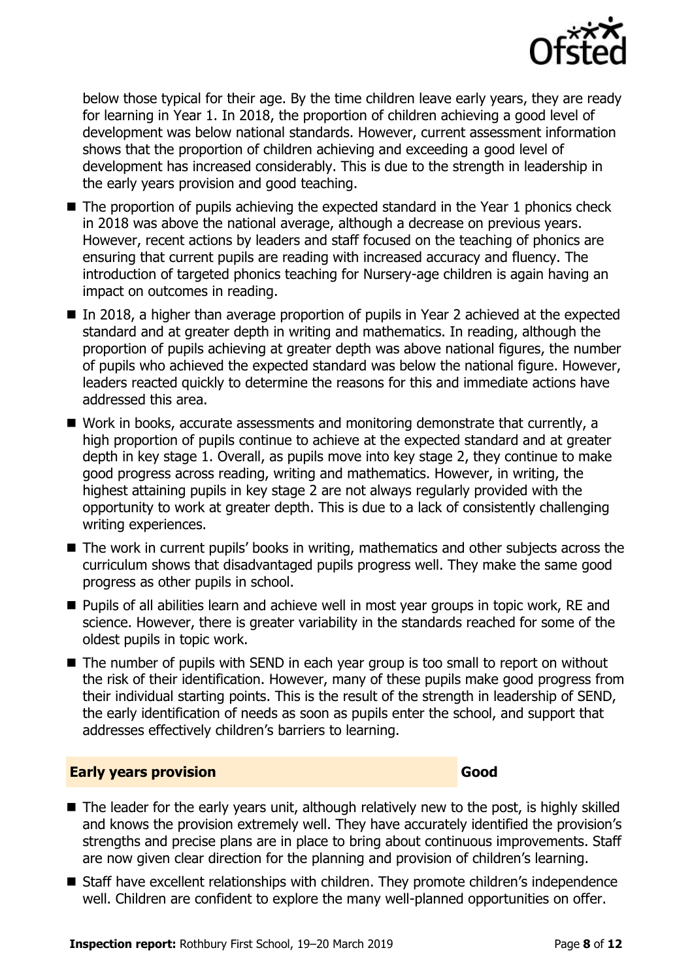

below those typical for their age. By the time children leave early years, they are ready for learning in Year 1. In 2018, the proportion of children achieving a good level of development was below national standards. However, current assessment information shows that the proportion of children achieving and exceeding a good level of development has increased considerably. This is due to the strength in leadership in the early years provision and good teaching.

- The proportion of pupils achieving the expected standard in the Year 1 phonics check in 2018 was above the national average, although a decrease on previous years. However, recent actions by leaders and staff focused on the teaching of phonics are ensuring that current pupils are reading with increased accuracy and fluency. The introduction of targeted phonics teaching for Nursery-age children is again having an impact on outcomes in reading.
- In 2018, a higher than average proportion of pupils in Year 2 achieved at the expected standard and at greater depth in writing and mathematics. In reading, although the proportion of pupils achieving at greater depth was above national figures, the number of pupils who achieved the expected standard was below the national figure. However, leaders reacted quickly to determine the reasons for this and immediate actions have addressed this area.
- Work in books, accurate assessments and monitoring demonstrate that currently, a high proportion of pupils continue to achieve at the expected standard and at greater depth in key stage 1. Overall, as pupils move into key stage 2, they continue to make good progress across reading, writing and mathematics. However, in writing, the highest attaining pupils in key stage 2 are not always regularly provided with the opportunity to work at greater depth. This is due to a lack of consistently challenging writing experiences.
- The work in current pupils' books in writing, mathematics and other subjects across the curriculum shows that disadvantaged pupils progress well. They make the same good progress as other pupils in school.
- **Pupils of all abilities learn and achieve well in most year groups in topic work, RE and** science. However, there is greater variability in the standards reached for some of the oldest pupils in topic work.
- The number of pupils with SEND in each year group is too small to report on without the risk of their identification. However, many of these pupils make good progress from their individual starting points. This is the result of the strength in leadership of SEND, the early identification of needs as soon as pupils enter the school, and support that addresses effectively children's barriers to learning.

## **Early years provision Good**

- $\blacksquare$  The leader for the early years unit, although relatively new to the post, is highly skilled and knows the provision extremely well. They have accurately identified the provision's strengths and precise plans are in place to bring about continuous improvements. Staff are now given clear direction for the planning and provision of children's learning.
- Staff have excellent relationships with children. They promote children's independence well. Children are confident to explore the many well-planned opportunities on offer.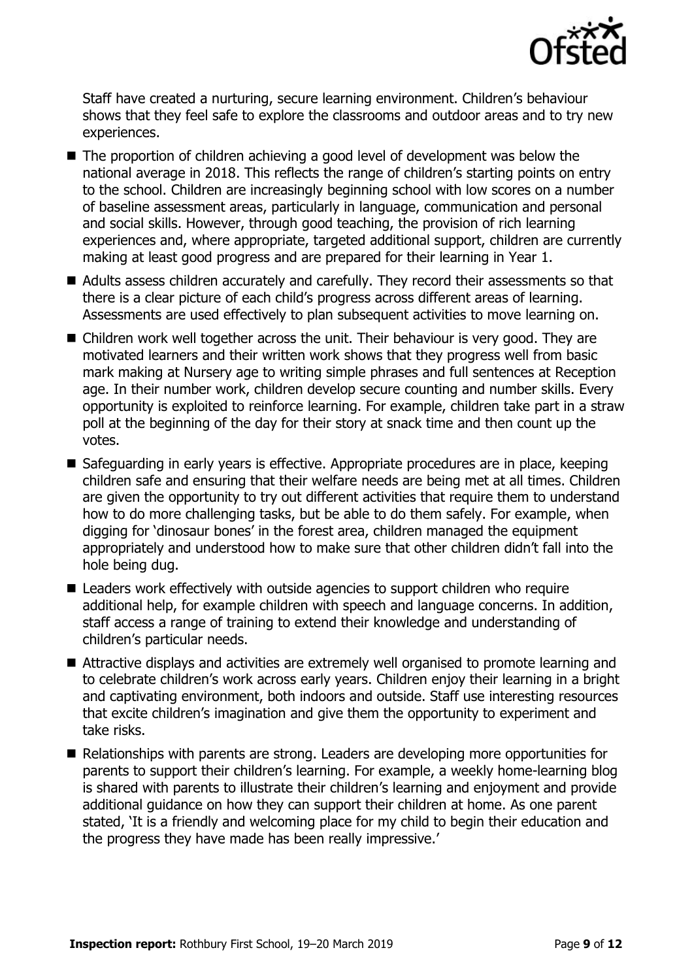

Staff have created a nurturing, secure learning environment. Children's behaviour shows that they feel safe to explore the classrooms and outdoor areas and to try new experiences.

- The proportion of children achieving a good level of development was below the national average in 2018. This reflects the range of children's starting points on entry to the school. Children are increasingly beginning school with low scores on a number of baseline assessment areas, particularly in language, communication and personal and social skills. However, through good teaching, the provision of rich learning experiences and, where appropriate, targeted additional support, children are currently making at least good progress and are prepared for their learning in Year 1.
- Adults assess children accurately and carefully. They record their assessments so that there is a clear picture of each child's progress across different areas of learning. Assessments are used effectively to plan subsequent activities to move learning on.
- Children work well together across the unit. Their behaviour is very good. They are motivated learners and their written work shows that they progress well from basic mark making at Nursery age to writing simple phrases and full sentences at Reception age. In their number work, children develop secure counting and number skills. Every opportunity is exploited to reinforce learning. For example, children take part in a straw poll at the beginning of the day for their story at snack time and then count up the votes.
- Safeguarding in early years is effective. Appropriate procedures are in place, keeping children safe and ensuring that their welfare needs are being met at all times. Children are given the opportunity to try out different activities that require them to understand how to do more challenging tasks, but be able to do them safely. For example, when digging for 'dinosaur bones' in the forest area, children managed the equipment appropriately and understood how to make sure that other children didn't fall into the hole being dug.
- Leaders work effectively with outside agencies to support children who require additional help, for example children with speech and language concerns. In addition, staff access a range of training to extend their knowledge and understanding of children's particular needs.
- Attractive displays and activities are extremely well organised to promote learning and to celebrate children's work across early years. Children enjoy their learning in a bright and captivating environment, both indoors and outside. Staff use interesting resources that excite children's imagination and give them the opportunity to experiment and take risks.
- Relationships with parents are strong. Leaders are developing more opportunities for parents to support their children's learning. For example, a weekly home-learning blog is shared with parents to illustrate their children's learning and enjoyment and provide additional guidance on how they can support their children at home. As one parent stated, 'It is a friendly and welcoming place for my child to begin their education and the progress they have made has been really impressive.'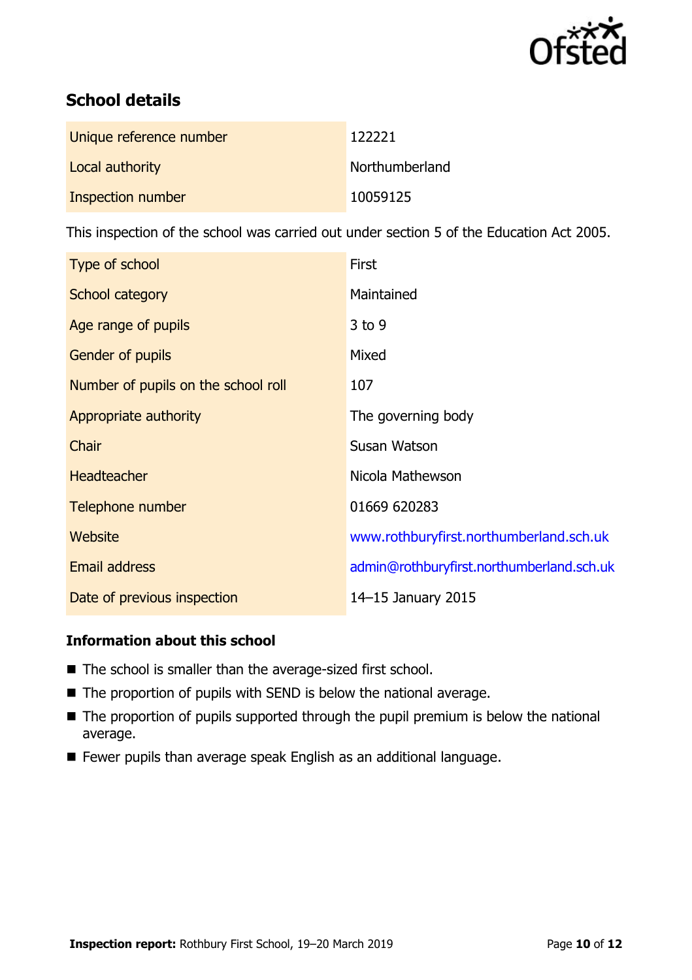

# **School details**

| Unique reference number | 122221         |
|-------------------------|----------------|
| Local authority         | Northumberland |
| Inspection number       | 10059125       |

This inspection of the school was carried out under section 5 of the Education Act 2005.

| Type of school                      | <b>First</b>                              |
|-------------------------------------|-------------------------------------------|
| School category                     | Maintained                                |
| Age range of pupils                 | $3$ to 9                                  |
| <b>Gender of pupils</b>             | Mixed                                     |
| Number of pupils on the school roll | 107                                       |
| Appropriate authority               | The governing body                        |
| Chair                               | Susan Watson                              |
| <b>Headteacher</b>                  | Nicola Mathewson                          |
| Telephone number                    | 01669 620283                              |
| <b>Website</b>                      | www.rothburyfirst.northumberland.sch.uk   |
| Email address                       | admin@rothburyfirst.northumberland.sch.uk |
| Date of previous inspection         | 14-15 January 2015                        |

# **Information about this school**

- The school is smaller than the average-sized first school.
- The proportion of pupils with SEND is below the national average.
- The proportion of pupils supported through the pupil premium is below the national average.
- Fewer pupils than average speak English as an additional language.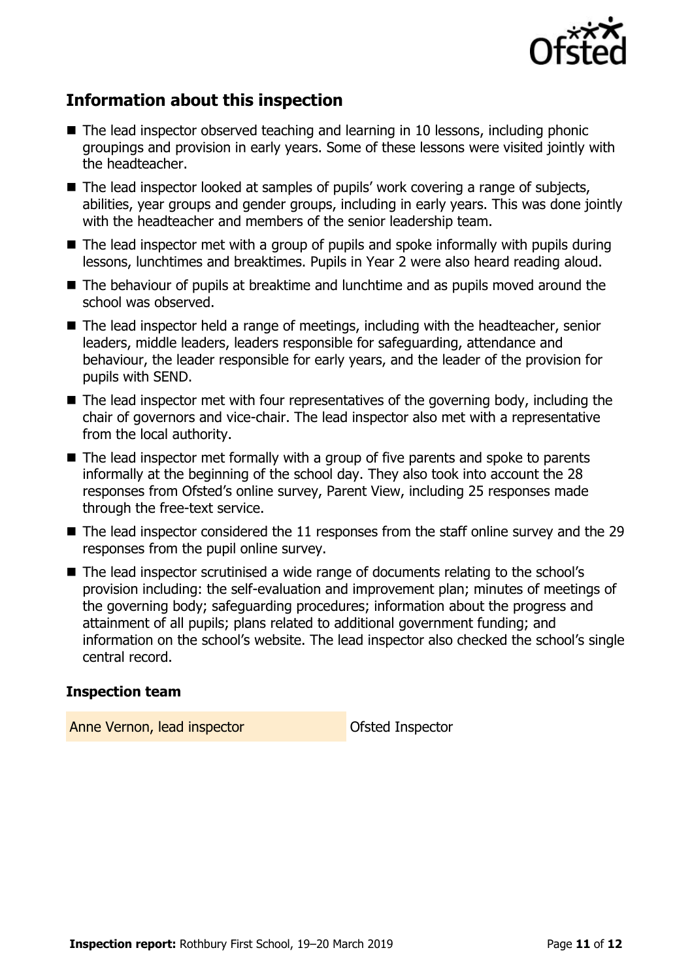

# **Information about this inspection**

- The lead inspector observed teaching and learning in 10 lessons, including phonic groupings and provision in early years. Some of these lessons were visited jointly with the headteacher.
- The lead inspector looked at samples of pupils' work covering a range of subjects, abilities, year groups and gender groups, including in early years. This was done jointly with the headteacher and members of the senior leadership team.
- The lead inspector met with a group of pupils and spoke informally with pupils during lessons, lunchtimes and breaktimes. Pupils in Year 2 were also heard reading aloud.
- The behaviour of pupils at breaktime and lunchtime and as pupils moved around the school was observed.
- The lead inspector held a range of meetings, including with the headteacher, senior leaders, middle leaders, leaders responsible for safeguarding, attendance and behaviour, the leader responsible for early years, and the leader of the provision for pupils with SEND.
- The lead inspector met with four representatives of the governing body, including the chair of governors and vice-chair. The lead inspector also met with a representative from the local authority.
- The lead inspector met formally with a group of five parents and spoke to parents informally at the beginning of the school day. They also took into account the 28 responses from Ofsted's online survey, Parent View, including 25 responses made through the free-text service.
- The lead inspector considered the 11 responses from the staff online survey and the 29 responses from the pupil online survey.
- The lead inspector scrutinised a wide range of documents relating to the school's provision including: the self-evaluation and improvement plan; minutes of meetings of the governing body; safeguarding procedures; information about the progress and attainment of all pupils; plans related to additional government funding; and information on the school's website. The lead inspector also checked the school's single central record.

## **Inspection team**

Anne Vernon, lead inspector **Constanting Constanting Constanting Constanting Constanting Constanting Constanting Constanting Constanting Constanting Constanting Constanting Constanting Constanting Constanting Constanting C**